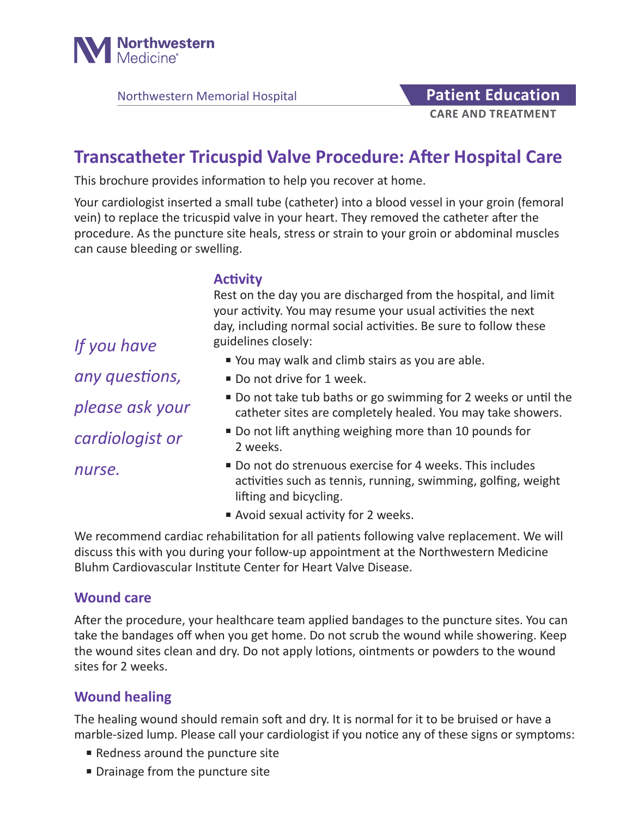

Northwestern Memorial Hospital **Patient Education** 

# **CARE AND TREATMENT**

# **Transcatheter Tricuspid Valve Procedure: After Hospital Care**

This brochure provides information to help you recover at home.

Your cardiologist inserted a small tube (catheter) into a blood vessel in your groin (femoral vein) to replace the tricuspid valve in your heart. They removed the catheter after the procedure. As the puncture site heals, stress or strain to your groin or abdominal muscles can cause bleeding or swelling.

### **Activity**

Rest on the day you are discharged from the hospital, and limit your activity. You may resume your usual activities the next day, including normal social activities. Be sure to follow these guidelines closely:

- You may walk and climb stairs as you are able.
- Do not drive for 1 week.
- Do not take tub baths or go swimming for 2 weeks or until the catheter sites are completely healed. You may take showers.
- Do not lift anything weighing more than 10 pounds for 2 weeks.
- Do not do strenuous exercise for 4 weeks. This includes activities such as tennis, running, swimming, golfing, weight lifting and bicycling.
- Avoid sexual activity for 2 weeks.

We recommend cardiac rehabilitation for all patients following valve replacement. We will discuss this with you during your follow-up appointment at the Northwestern Medicine Bluhm Cardiovascular Institute Center for Heart Valve Disease.

#### **Wound care**

*nurse.*

After the procedure, your healthcare team applied bandages to the puncture sites. You can take the bandages off when you get home. Do not scrub the wound while showering. Keep the wound sites clean and dry. Do not apply lotions, ointments or powders to the wound sites for 2 weeks.

# **Wound healing**

The healing wound should remain soft and dry. It is normal for it to be bruised or have a marble-sized lump. Please call your cardiologist if you notice any of these signs or symptoms:

- Redness around the puncture site
- Drainage from the puncture site

*If you have any questions, please ask your cardiologist or*